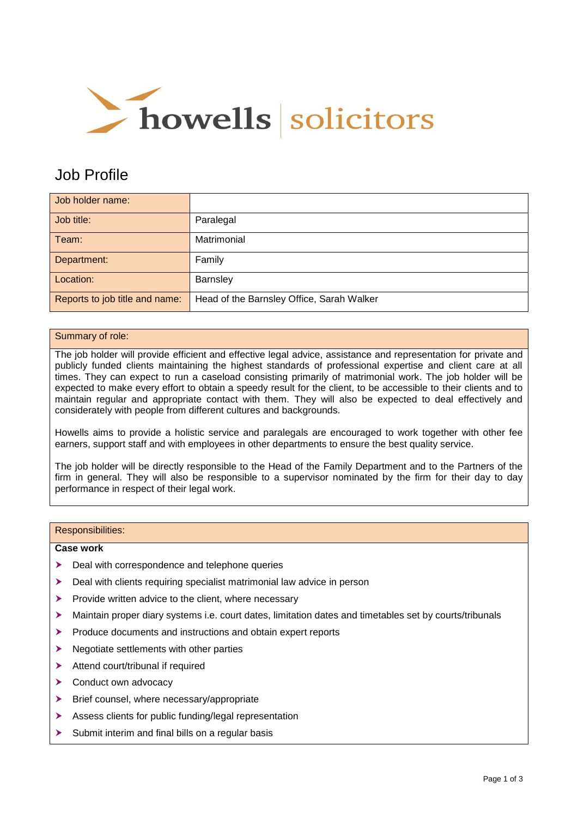

# Job Profile

| Job holder name:               |                                           |
|--------------------------------|-------------------------------------------|
| Job title:                     | Paralegal                                 |
| Team:                          | Matrimonial                               |
| Department:                    | Family                                    |
| Location:                      | <b>Barnsley</b>                           |
| Reports to job title and name: | Head of the Barnsley Office, Sarah Walker |

# Summary of role:

The job holder will provide efficient and effective legal advice, assistance and representation for private and publicly funded clients maintaining the highest standards of professional expertise and client care at all times. They can expect to run a caseload consisting primarily of matrimonial work. The job holder will be expected to make every effort to obtain a speedy result for the client, to be accessible to their clients and to maintain regular and appropriate contact with them. They will also be expected to deal effectively and considerately with people from different cultures and backgrounds.

Howells aims to provide a holistic service and paralegals are encouraged to work together with other fee earners, support staff and with employees in other departments to ensure the best quality service.

The job holder will be directly responsible to the Head of the Family Department and to the Partners of the firm in general. They will also be responsible to a supervisor nominated by the firm for their day to day performance in respect of their legal work.

#### Responsibilities:

### **Case work**

- Deal with correspondence and telephone queries
- ▶ Deal with clients requiring specialist matrimonial law advice in person
- $\blacktriangleright$  Provide written advice to the client, where necessary
- Maintain proper diary systems i.e. court dates, limitation dates and timetables set by courts/tribunals
- Produce documents and instructions and obtain expert reports
- $\blacktriangleright$  Negotiate settlements with other parties
- > Attend court/tribunal if required
- > Conduct own advocacy
- ▶ Brief counsel, where necessary/appropriate
- Assess clients for public funding/legal representation
- $\triangleright$  Submit interim and final bills on a regular basis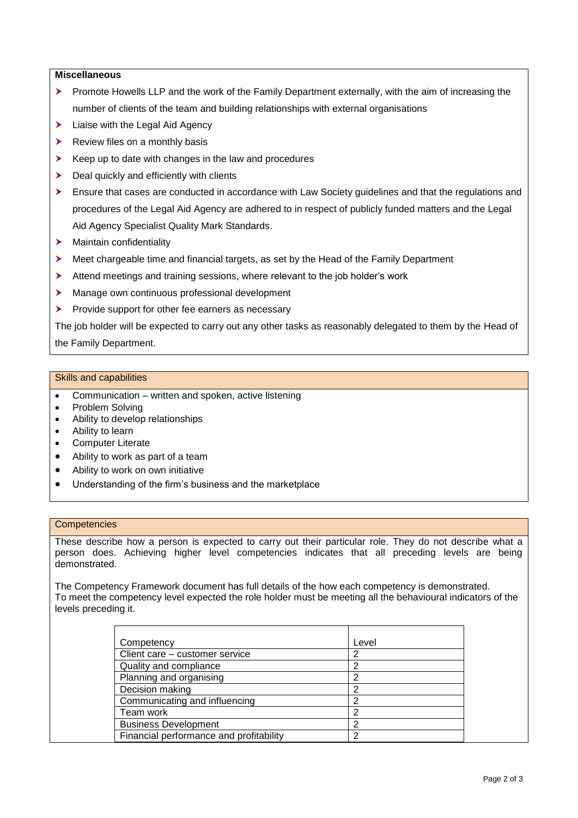# **Miscellaneous**

- Promote Howells LLP and the work of the Family Department externally, with the aim of increasing the number of clients of the team and building relationships with external organisations
- $\blacktriangleright$  Liaise with the Legal Aid Agency
- $\blacktriangleright$  Review files on a monthly basis
- $\triangleright$  Keep up to date with changes in the law and procedures
- $\blacktriangleright$  Deal quickly and efficiently with clients
- Ensure that cases are conducted in accordance with Law Society guidelines and that the regulations and procedures of the Legal Aid Agency are adhered to in respect of publicly funded matters and the Legal Aid Agency Specialist Quality Mark Standards.
- > Maintain confidentiality
- Meet chargeable time and financial targets, as set by the Head of the Family Department
- Attend meetings and training sessions, where relevant to the job holder's work
- Manage own continuous professional development
- $\blacktriangleright$  Provide support for other fee earners as necessary

The job holder will be expected to carry out any other tasks as reasonably delegated to them by the Head of the Family Department.

### Skills and capabilities

- Communication written and spoken, active listening
- Problem Solving
- Ability to develop relationships
- Ability to learn
- Computer Literate
- Ability to work as part of a team
- Ability to work on own initiative
- Understanding of the firm's business and the marketplace

#### **Competencies**

These describe how a person is expected to carry out their particular role. They do not describe what a person does. Achieving higher level competencies indicates that all preceding levels are being demonstrated.

The Competency Framework document has full details of the how each competency is demonstrated. To meet the competency level expected the role holder must be meeting all the behavioural indicators of the levels preceding it.

| Competency                              | Level |
|-----------------------------------------|-------|
| Client care - customer service          | 2     |
| Quality and compliance                  | 2     |
| Planning and organising                 | 2     |
| Decision making                         | っ     |
| Communicating and influencing           | っ     |
| Team work                               | っ     |
| <b>Business Development</b>             | ົ     |
| Financial performance and profitability | ົ     |